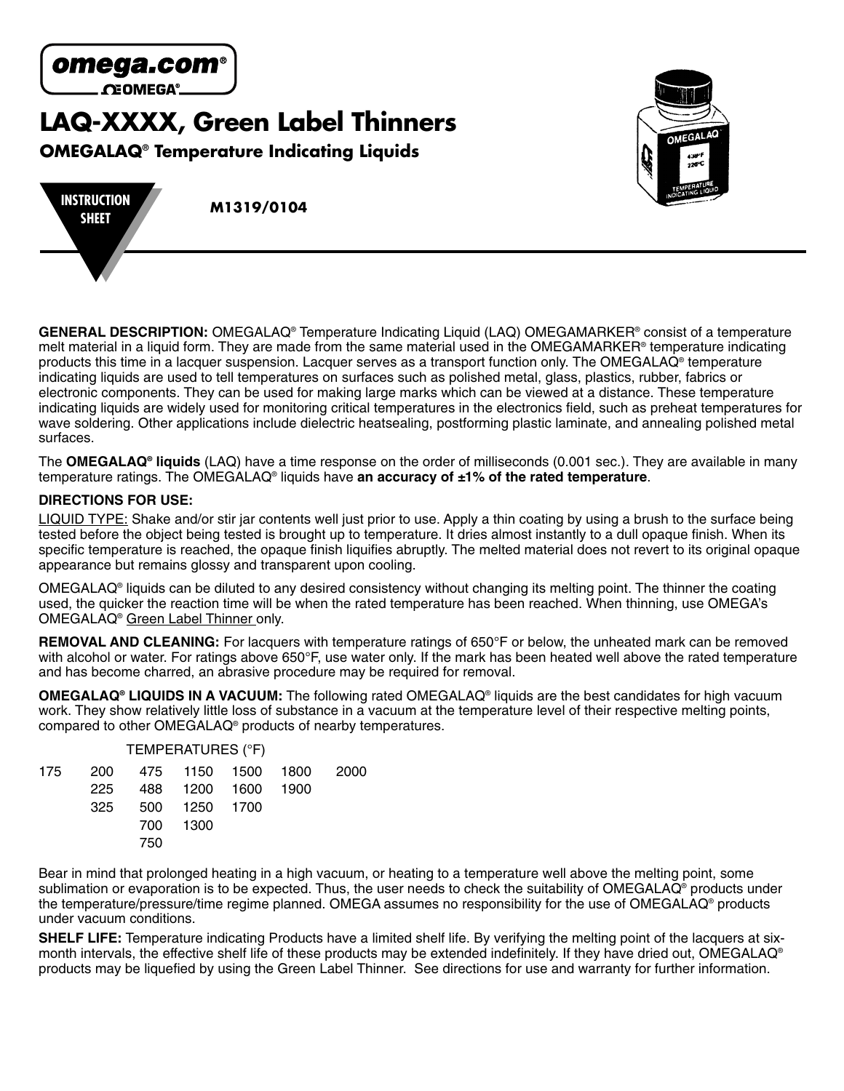

# **LAQ-XXXX, Green Label Thinners**

**OMEGALAQ® Temperature Indicating Liquids**





**GENERAL DESCRIPTION:** OMEGALAQ® Temperature Indicating Liquid (LAQ) OMEGAMARKER® consist of a temperature melt material in a liquid form. They are made from the same material used in the OMEGAMARKER® temperature indicating products this time in a lacquer suspension. Lacquer serves as a transport function only. The OMEGALAQ® temperature indicating liquids are used to tell temperatures on surfaces such as polished metal, glass, plastics, rubber, fabrics or electronic components. They can be used for making large marks which can be viewed at a distance. These temperature indicating liquids are widely used for monitoring critical temperatures in the electronics field, such as preheat temperatures for wave soldering. Other applications include dielectric heatsealing, postforming plastic laminate, and annealing polished metal surfaces.

The **OMEGALAQ® liquids** (LAQ) have a time response on the order of milliseconds (0.001 sec.). They are available in many temperature ratings. The OMEGALAQ® liquids have **an accuracy of ±1% of the rated temperature**.

## **DIRECTIONS FOR USE:**

LIQUID TYPE: Shake and/or stir jar contents well just prior to use. Apply a thin coating by using a brush to the surface being tested before the object being tested is brought up to temperature. It dries almost instantly to a dull opaque finish. When its specific temperature is reached, the opaque finish liquifies abruptly. The melted material does not revert to its original opaque appearance but remains glossy and transparent upon cooling.

OMEGALAQ® liquids can be diluted to any desired consistency without changing its melting point. The thinner the coating used, the quicker the reaction time will be when the rated temperature has been reached. When thinning, use OMEGA's OMEGALAQ® Green Label Thinner only.

**REMOVAL AND CLEANING:** For lacquers with temperature ratings of 650°F or below, the unheated mark can be removed with alcohol or water. For ratings above 650°F, use water only. If the mark has been heated well above the rated temperature and has become charred, an abrasive procedure may be required for removal.

**OMEGALAQ® LIQUIDS IN A VACUUM:** The following rated OMEGALAQ® liquids are the best candidates for high vacuum work. They show relatively little loss of substance in a vacuum at the temperature level of their respective melting points, compared to other OMEGALAQ® products of nearby temperatures.

|     |     | TEMPERATURES (°F)  |                                 |  |
|-----|-----|--------------------|---------------------------------|--|
|     |     |                    | 175 200 475 1150 1500 1800 2000 |  |
| 225 |     | 488 1200 1600 1900 |                                 |  |
| 325 |     | 500 1250 1700      |                                 |  |
|     |     | 700 1300           |                                 |  |
|     | 750 |                    |                                 |  |

Bear in mind that prolonged heating in a high vacuum, or heating to a temperature well above the melting point, some sublimation or evaporation is to be expected. Thus, the user needs to check the suitability of OMEGALAQ<sup>®</sup> products under the temperature/pressure/time regime planned. OMEGA assumes no responsibility for the use of OMEGALAQ® products under vacuum conditions.

**SHELF LIFE:** Temperature indicating Products have a limited shelf life. By verifying the melting point of the lacquers at sixmonth intervals, the effective shelf life of these products may be extended indefinitely. If they have dried out, OMEGALAQ® products may be liquefied by using the Green Label Thinner. See directions for use and warranty for further information.